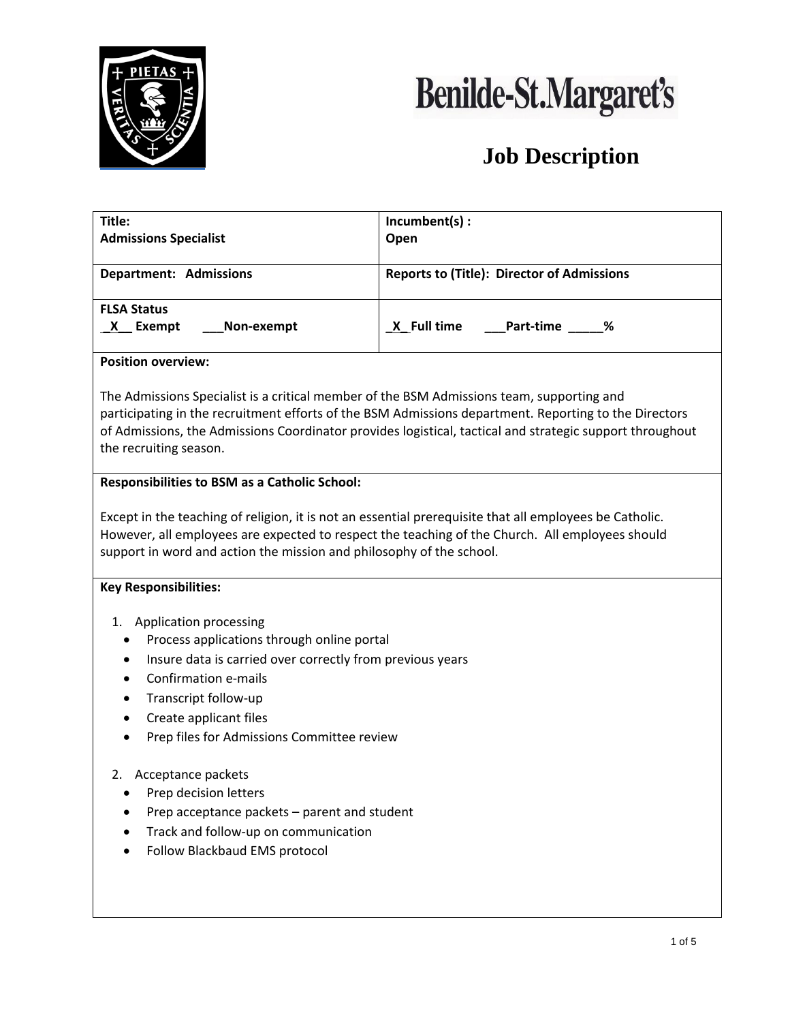



| Title:                                                                                                                                                                                                                                                                                                                                   | Incumbent(s) :                                                                                                                                                                                             |  |  |  |  |  |  |  |
|------------------------------------------------------------------------------------------------------------------------------------------------------------------------------------------------------------------------------------------------------------------------------------------------------------------------------------------|------------------------------------------------------------------------------------------------------------------------------------------------------------------------------------------------------------|--|--|--|--|--|--|--|
| <b>Admissions Specialist</b>                                                                                                                                                                                                                                                                                                             | Open                                                                                                                                                                                                       |  |  |  |  |  |  |  |
| <b>Department: Admissions</b>                                                                                                                                                                                                                                                                                                            | <b>Reports to (Title): Director of Admissions</b>                                                                                                                                                          |  |  |  |  |  |  |  |
| <b>FLSA Status</b>                                                                                                                                                                                                                                                                                                                       |                                                                                                                                                                                                            |  |  |  |  |  |  |  |
| X Exempt<br>Non-exempt                                                                                                                                                                                                                                                                                                                   | Part-time _____%<br><u>X</u> Full time                                                                                                                                                                     |  |  |  |  |  |  |  |
| <b>Position overview:</b>                                                                                                                                                                                                                                                                                                                |                                                                                                                                                                                                            |  |  |  |  |  |  |  |
| The Admissions Specialist is a critical member of the BSM Admissions team, supporting and<br>participating in the recruitment efforts of the BSM Admissions department. Reporting to the Directors<br>of Admissions, the Admissions Coordinator provides logistical, tactical and strategic support throughout<br>the recruiting season. |                                                                                                                                                                                                            |  |  |  |  |  |  |  |
| <b>Responsibilities to BSM as a Catholic School:</b>                                                                                                                                                                                                                                                                                     |                                                                                                                                                                                                            |  |  |  |  |  |  |  |
| support in word and action the mission and philosophy of the school.<br><b>Key Responsibilities:</b>                                                                                                                                                                                                                                     | Except in the teaching of religion, it is not an essential prerequisite that all employees be Catholic.<br>However, all employees are expected to respect the teaching of the Church. All employees should |  |  |  |  |  |  |  |
| 1. Application processing                                                                                                                                                                                                                                                                                                                |                                                                                                                                                                                                            |  |  |  |  |  |  |  |
| Process applications through online portal                                                                                                                                                                                                                                                                                               |                                                                                                                                                                                                            |  |  |  |  |  |  |  |
| Insure data is carried over correctly from previous years<br>٠                                                                                                                                                                                                                                                                           |                                                                                                                                                                                                            |  |  |  |  |  |  |  |
| Confirmation e-mails                                                                                                                                                                                                                                                                                                                     |                                                                                                                                                                                                            |  |  |  |  |  |  |  |
| Transcript follow-up<br>٠                                                                                                                                                                                                                                                                                                                |                                                                                                                                                                                                            |  |  |  |  |  |  |  |
| Create applicant files<br>$\bullet$                                                                                                                                                                                                                                                                                                      |                                                                                                                                                                                                            |  |  |  |  |  |  |  |
| Prep files for Admissions Committee review<br>$\bullet$                                                                                                                                                                                                                                                                                  |                                                                                                                                                                                                            |  |  |  |  |  |  |  |
| Acceptance packets<br>2.                                                                                                                                                                                                                                                                                                                 |                                                                                                                                                                                                            |  |  |  |  |  |  |  |
| Prep decision letters                                                                                                                                                                                                                                                                                                                    |                                                                                                                                                                                                            |  |  |  |  |  |  |  |
| Prep acceptance packets - parent and student                                                                                                                                                                                                                                                                                             |                                                                                                                                                                                                            |  |  |  |  |  |  |  |
| Track and follow-up on communication                                                                                                                                                                                                                                                                                                     |                                                                                                                                                                                                            |  |  |  |  |  |  |  |
| Follow Blackbaud EMS protocol                                                                                                                                                                                                                                                                                                            |                                                                                                                                                                                                            |  |  |  |  |  |  |  |
|                                                                                                                                                                                                                                                                                                                                          |                                                                                                                                                                                                            |  |  |  |  |  |  |  |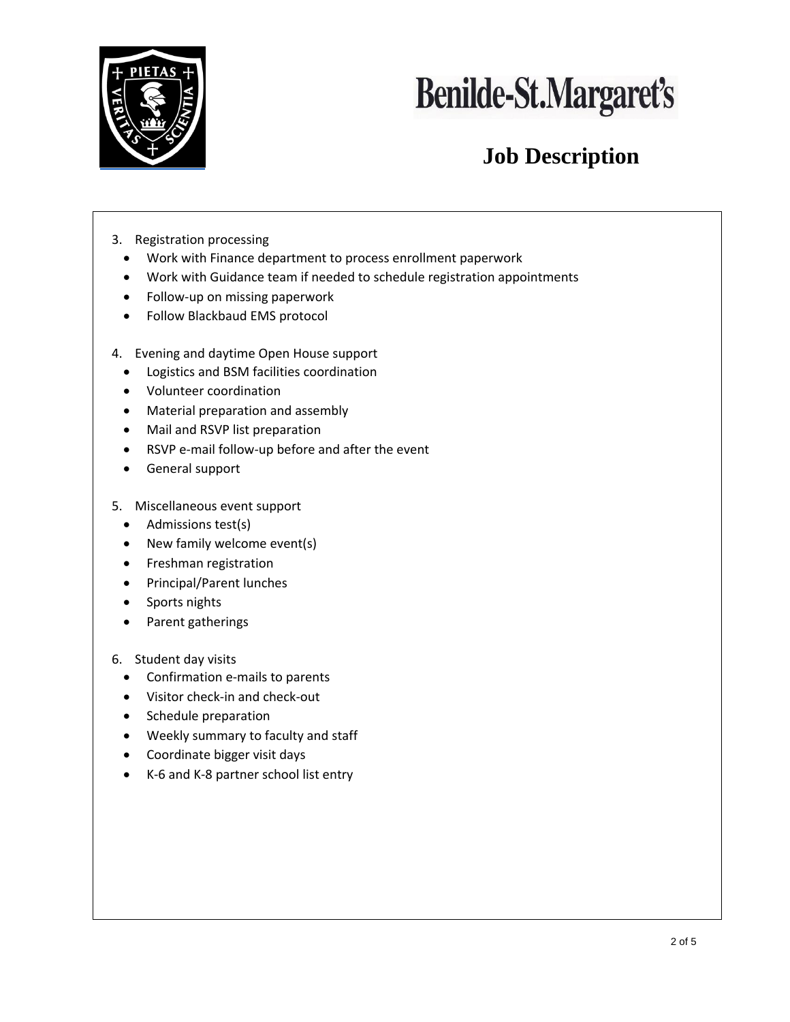



- 3. Registration processing
	- Work with Finance department to process enrollment paperwork
	- Work with Guidance team if needed to schedule registration appointments
	- Follow-up on missing paperwork
	- Follow Blackbaud EMS protocol
- 4. Evening and daytime Open House support
	- Logistics and BSM facilities coordination
	- Volunteer coordination
	- Material preparation and assembly
	- Mail and RSVP list preparation
	- RSVP e-mail follow-up before and after the event
	- General support
- 5. Miscellaneous event support
	- Admissions test(s)
	- New family welcome event(s)
	- Freshman registration
	- Principal/Parent lunches
	- Sports nights
	- Parent gatherings
- 6. Student day visits
	- Confirmation e-mails to parents
	- Visitor check-in and check-out
	- Schedule preparation
	- Weekly summary to faculty and staff
	- Coordinate bigger visit days
	- K-6 and K-8 partner school list entry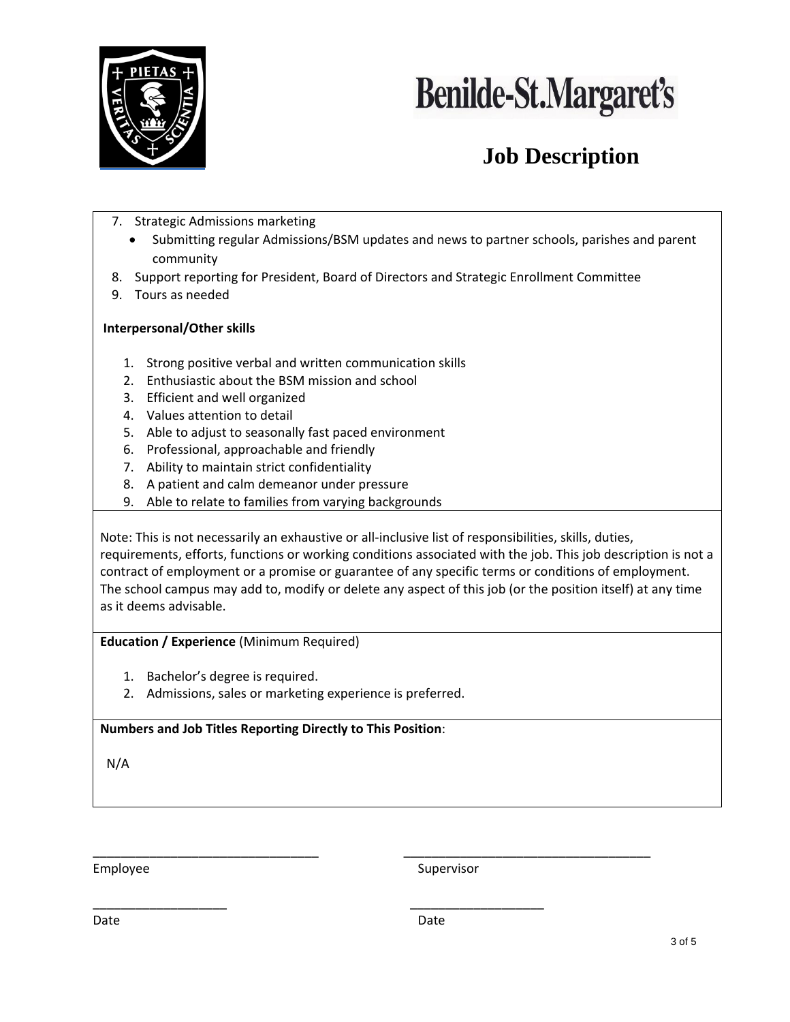



- 7. Strategic Admissions marketing
	- Submitting regular Admissions/BSM updates and news to partner schools, parishes and parent community
- 8. Support reporting for President, Board of Directors and Strategic Enrollment Committee
- 9. Tours as needed

#### **Interpersonal/Other skills**

- 1. Strong positive verbal and written communication skills
- 2. Enthusiastic about the BSM mission and school
- 3. Efficient and well organized
- 4. Values attention to detail
- 5. Able to adjust to seasonally fast paced environment
- 6. Professional, approachable and friendly
- 7. Ability to maintain strict confidentiality
- 8. A patient and calm demeanor under pressure
- 9. Able to relate to families from varying backgrounds

Note: This is not necessarily an exhaustive or all-inclusive list of responsibilities, skills, duties, requirements, efforts, functions or working conditions associated with the job. This job description is not a contract of employment or a promise or guarantee of any specific terms or conditions of employment. The school campus may add to, modify or delete any aspect of this job (or the position itself) at any time as it deems advisable.

**Education / Experience** (Minimum Required)

- 1. Bachelor's degree is required.
- 2. Admissions, sales or marketing experience is preferred.

**Numbers and Job Titles Reporting Directly to This Position**:

N/A

Employee Supervisor

Date **Date** Date **Date** Date **Date** 

\_\_\_\_\_\_\_\_\_\_\_\_\_\_\_\_\_\_\_\_\_\_\_\_\_\_\_\_\_\_\_\_ \_\_\_\_\_\_\_\_\_\_\_\_\_\_\_\_\_\_\_\_\_\_\_\_\_\_\_\_\_\_\_\_\_\_\_

\_\_\_\_\_\_\_\_\_\_\_\_\_\_\_\_\_\_\_ \_\_\_\_\_\_\_\_\_\_\_\_\_\_\_\_\_\_\_